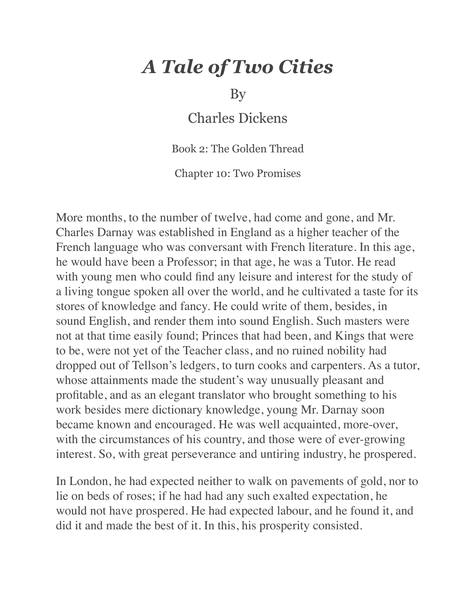## *A Tale of Two Cities*

By

Charles Dickens

Book 2: The Golden Thread

Chapter 10: Two Promises

More months, to the number of twelve, had come and gone, and Mr. Charles Darnay was established in England as a higher teacher of the French language who was conversant with French literature. In this age, he would have been a Professor; in that age, he was a Tutor. He read with young men who could find any leisure and interest for the study of a living tongue spoken all over the world, and he cultivated a taste for its stores of knowledge and fancy. He could write of them, besides, in sound English, and render them into sound English. Such masters were not at that time easily found; Princes that had been, and Kings that were to be, were not yet of the Teacher class, and no ruined nobility had dropped out of Tellson's ledgers, to turn cooks and carpenters. As a tutor, whose attainments made the student's way unusually pleasant and profitable, and as an elegant translator who brought something to his work besides mere dictionary knowledge, young Mr. Darnay soon became known and encouraged. He was well acquainted, more-over, with the circumstances of his country, and those were of ever-growing interest. So, with great perseverance and untiring industry, he prospered.

In London, he had expected neither to walk on pavements of gold, nor to lie on beds of roses; if he had had any such exalted expectation, he would not have prospered. He had expected labour, and he found it, and did it and made the best of it. In this, his prosperity consisted.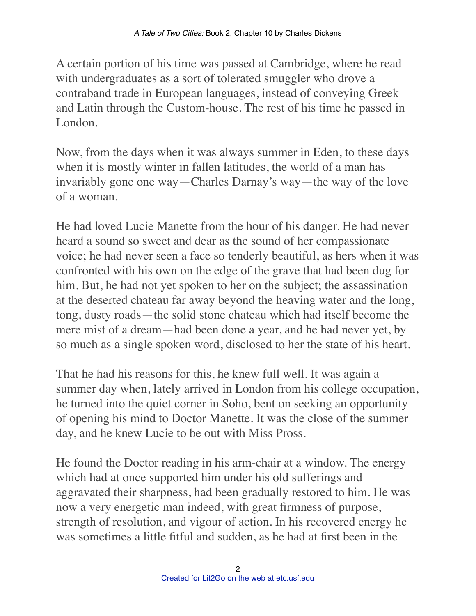A certain portion of his time was passed at Cambridge, where he read with undergraduates as a sort of tolerated smuggler who drove a contraband trade in European languages, instead of conveying Greek and Latin through the Custom-house. The rest of his time he passed in London.

Now, from the days when it was always summer in Eden, to these days when it is mostly winter in fallen latitudes, the world of a man has invariably gone one way—Charles Darnay's way—the way of the love of a woman.

He had loved Lucie Manette from the hour of his danger. He had never heard a sound so sweet and dear as the sound of her compassionate voice; he had never seen a face so tenderly beautiful, as hers when it was confronted with his own on the edge of the grave that had been dug for him. But, he had not yet spoken to her on the subject; the assassination at the deserted chateau far away beyond the heaving water and the long, tong, dusty roads—the solid stone chateau which had itself become the mere mist of a dream—had been done a year, and he had never yet, by so much as a single spoken word, disclosed to her the state of his heart.

That he had his reasons for this, he knew full well. It was again a summer day when, lately arrived in London from his college occupation, he turned into the quiet corner in Soho, bent on seeking an opportunity of opening his mind to Doctor Manette. It was the close of the summer day, and he knew Lucie to be out with Miss Pross.

He found the Doctor reading in his arm-chair at a window. The energy which had at once supported him under his old sufferings and aggravated their sharpness, had been gradually restored to him. He was now a very energetic man indeed, with great firmness of purpose, strength of resolution, and vigour of action. In his recovered energy he was sometimes a little fitful and sudden, as he had at first been in the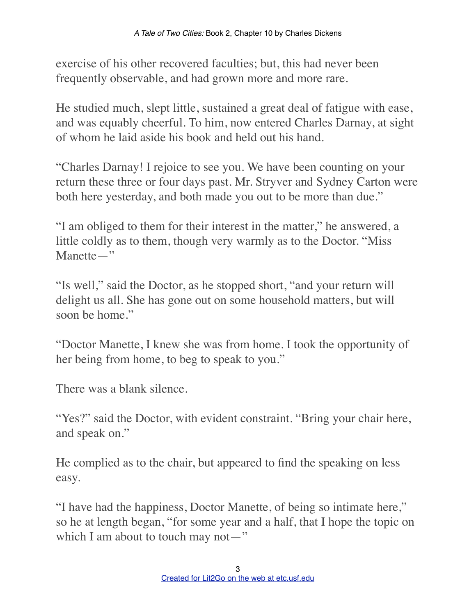exercise of his other recovered faculties; but, this had never been frequently observable, and had grown more and more rare.

He studied much, slept little, sustained a great deal of fatigue with ease, and was equably cheerful. To him, now entered Charles Darnay, at sight of whom he laid aside his book and held out his hand.

"Charles Darnay! I rejoice to see you. We have been counting on your return these three or four days past. Mr. Stryver and Sydney Carton were both here yesterday, and both made you out to be more than due."

"I am obliged to them for their interest in the matter," he answered, a little coldly as to them, though very warmly as to the Doctor. "Miss Manette—"

"Is well," said the Doctor, as he stopped short, "and your return will delight us all. She has gone out on some household matters, but will soon be home."

"Doctor Manette, I knew she was from home. I took the opportunity of her being from home, to beg to speak to you."

There was a blank silence.

"Yes?" said the Doctor, with evident constraint. "Bring your chair here, and speak on."

He complied as to the chair, but appeared to find the speaking on less easy.

"I have had the happiness, Doctor Manette, of being so intimate here," so he at length began, "for some year and a half, that I hope the topic on which I am about to touch may not—"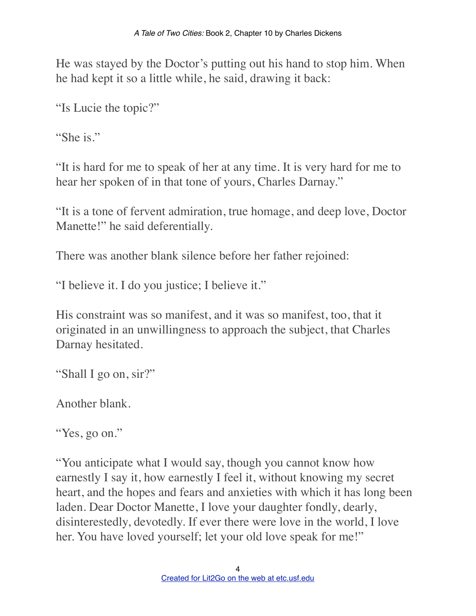He was stayed by the Doctor's putting out his hand to stop him. When he had kept it so a little while, he said, drawing it back:

"Is Lucie the topic?"

"She is."

"It is hard for me to speak of her at any time. It is very hard for me to hear her spoken of in that tone of yours, Charles Darnay."

"It is a tone of fervent admiration, true homage, and deep love, Doctor Manette!" he said deferentially.

There was another blank silence before her father rejoined:

"I believe it. I do you justice; I believe it."

His constraint was so manifest, and it was so manifest, too, that it originated in an unwillingness to approach the subject, that Charles Darnay hesitated.

"Shall I go on, sir?"

Another blank.

"Yes, go on."

"You anticipate what I would say, though you cannot know how earnestly I say it, how earnestly I feel it, without knowing my secret heart, and the hopes and fears and anxieties with which it has long been laden. Dear Doctor Manette, I love your daughter fondly, dearly, disinterestedly, devotedly. If ever there were love in the world, I love her. You have loved yourself; let your old love speak for me!"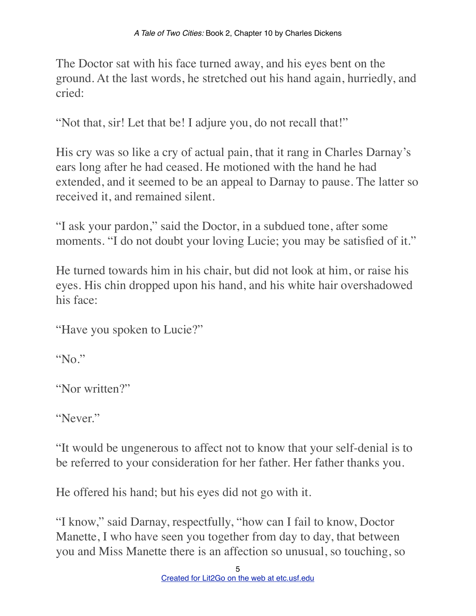The Doctor sat with his face turned away, and his eyes bent on the ground. At the last words, he stretched out his hand again, hurriedly, and cried:

"Not that, sir! Let that be! I adjure you, do not recall that!"

His cry was so like a cry of actual pain, that it rang in Charles Darnay's ears long after he had ceased. He motioned with the hand he had extended, and it seemed to be an appeal to Darnay to pause. The latter so received it, and remained silent.

"I ask your pardon," said the Doctor, in a subdued tone, after some moments. "I do not doubt your loving Lucie; you may be satisfied of it."

He turned towards him in his chair, but did not look at him, or raise his eyes. His chin dropped upon his hand, and his white hair overshadowed his face:

"Have you spoken to Lucie?"

"No."

"Nor written?"

"Never."

"It would be ungenerous to affect not to know that your self-denial is to be referred to your consideration for her father. Her father thanks you.

He offered his hand; but his eyes did not go with it.

"I know," said Darnay, respectfully, "how can I fail to know, Doctor Manette, I who have seen you together from day to day, that between you and Miss Manette there is an affection so unusual, so touching, so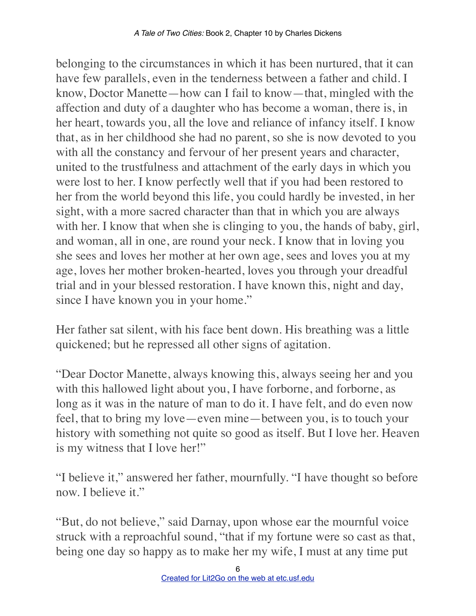belonging to the circumstances in which it has been nurtured, that it can have few parallels, even in the tenderness between a father and child. I know, Doctor Manette—how can I fail to know—that, mingled with the affection and duty of a daughter who has become a woman, there is, in her heart, towards you, all the love and reliance of infancy itself. I know that, as in her childhood she had no parent, so she is now devoted to you with all the constancy and fervour of her present years and character, united to the trustfulness and attachment of the early days in which you were lost to her. I know perfectly well that if you had been restored to her from the world beyond this life, you could hardly be invested, in her sight, with a more sacred character than that in which you are always with her. I know that when she is clinging to you, the hands of baby, girl, and woman, all in one, are round your neck. I know that in loving you she sees and loves her mother at her own age, sees and loves you at my age, loves her mother broken-hearted, loves you through your dreadful trial and in your blessed restoration. I have known this, night and day, since I have known you in your home."

Her father sat silent, with his face bent down. His breathing was a little quickened; but he repressed all other signs of agitation.

"Dear Doctor Manette, always knowing this, always seeing her and you with this hallowed light about you, I have forborne, and forborne, as long as it was in the nature of man to do it. I have felt, and do even now feel, that to bring my love—even mine—between you, is to touch your history with something not quite so good as itself. But I love her. Heaven is my witness that I love her!"

"I believe it," answered her father, mournfully. "I have thought so before now. I believe it."

"But, do not believe," said Darnay, upon whose ear the mournful voice struck with a reproachful sound, "that if my fortune were so cast as that, being one day so happy as to make her my wife, I must at any time put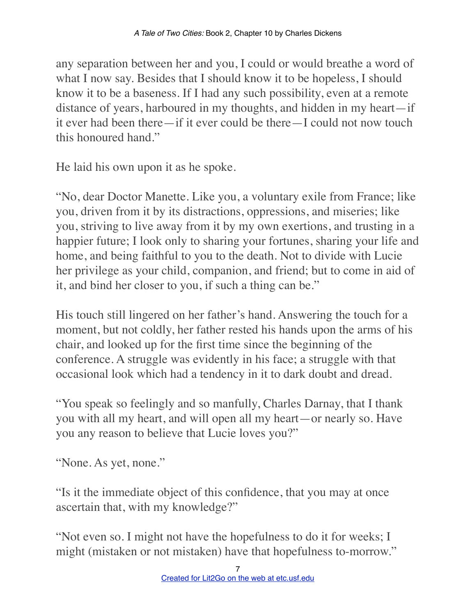any separation between her and you, I could or would breathe a word of what I now say. Besides that I should know it to be hopeless, I should know it to be a baseness. If I had any such possibility, even at a remote distance of years, harboured in my thoughts, and hidden in my heart—if it ever had been there—if it ever could be there—I could not now touch this honoured hand."

He laid his own upon it as he spoke.

"No, dear Doctor Manette. Like you, a voluntary exile from France; like you, driven from it by its distractions, oppressions, and miseries; like you, striving to live away from it by my own exertions, and trusting in a happier future; I look only to sharing your fortunes, sharing your life and home, and being faithful to you to the death. Not to divide with Lucie her privilege as your child, companion, and friend; but to come in aid of it, and bind her closer to you, if such a thing can be."

His touch still lingered on her father's hand. Answering the touch for a moment, but not coldly, her father rested his hands upon the arms of his chair, and looked up for the first time since the beginning of the conference. A struggle was evidently in his face; a struggle with that occasional look which had a tendency in it to dark doubt and dread.

"You speak so feelingly and so manfully, Charles Darnay, that I thank you with all my heart, and will open all my heart—or nearly so. Have you any reason to believe that Lucie loves you?"

"None. As yet, none."

"Is it the immediate object of this confidence, that you may at once ascertain that, with my knowledge?"

"Not even so. I might not have the hopefulness to do it for weeks; I might (mistaken or not mistaken) have that hopefulness to-morrow."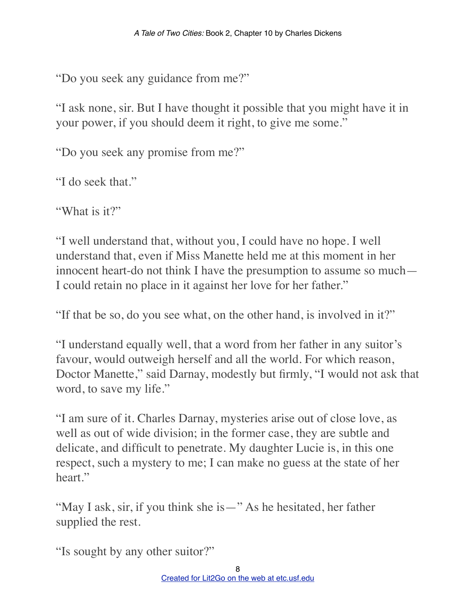"Do you seek any guidance from me?"

"I ask none, sir. But I have thought it possible that you might have it in your power, if you should deem it right, to give me some."

"Do you seek any promise from me?"

"I do seek that."

"What is it?"

"I well understand that, without you, I could have no hope. I well understand that, even if Miss Manette held me at this moment in her innocent heart-do not think I have the presumption to assume so much— I could retain no place in it against her love for her father."

"If that be so, do you see what, on the other hand, is involved in it?"

"I understand equally well, that a word from her father in any suitor's favour, would outweigh herself and all the world. For which reason, Doctor Manette," said Darnay, modestly but firmly, "I would not ask that word, to save my life."

"I am sure of it. Charles Darnay, mysteries arise out of close love, as well as out of wide division; in the former case, they are subtle and delicate, and difficult to penetrate. My daughter Lucie is, in this one respect, such a mystery to me; I can make no guess at the state of her heart."

"May I ask, sir, if you think she is—" As he hesitated, her father supplied the rest.

"Is sought by any other suitor?"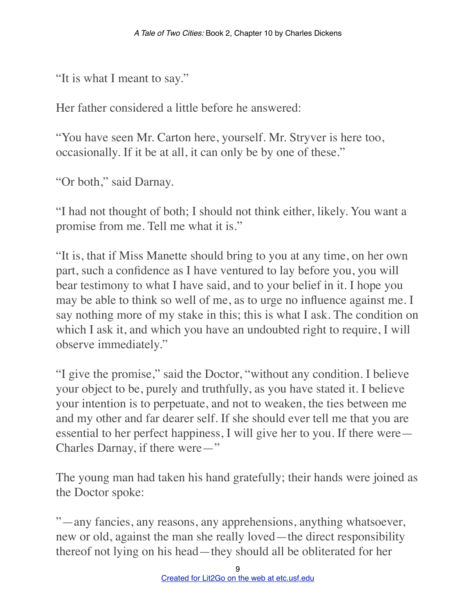"It is what I meant to say."

Her father considered a little before he answered:

"You have seen Mr. Carton here, yourself. Mr. Stryver is here too, occasionally. If it be at all, it can only be by one of these."

"Or both," said Darnay.

"I had not thought of both; I should not think either, likely. You want a promise from me. Tell me what it is."

"It is, that if Miss Manette should bring to you at any time, on her own part, such a confidence as I have ventured to lay before you, you will bear testimony to what I have said, and to your belief in it. I hope you may be able to think so well of me, as to urge no influence against me. I say nothing more of my stake in this; this is what I ask. The condition on which I ask it, and which you have an undoubted right to require, I will observe immediately."

"I give the promise," said the Doctor, "without any condition. I believe your object to be, purely and truthfully, as you have stated it. I believe your intention is to perpetuate, and not to weaken, the ties between me and my other and far dearer self. If she should ever tell me that you are essential to her perfect happiness, I will give her to you. If there were— Charles Darnay, if there were—"

The young man had taken his hand gratefully; their hands were joined as the Doctor spoke:

"—any fancies, any reasons, any apprehensions, anything whatsoever, new or old, against the man she really loved—the direct responsibility thereof not lying on his head—they should all be obliterated for her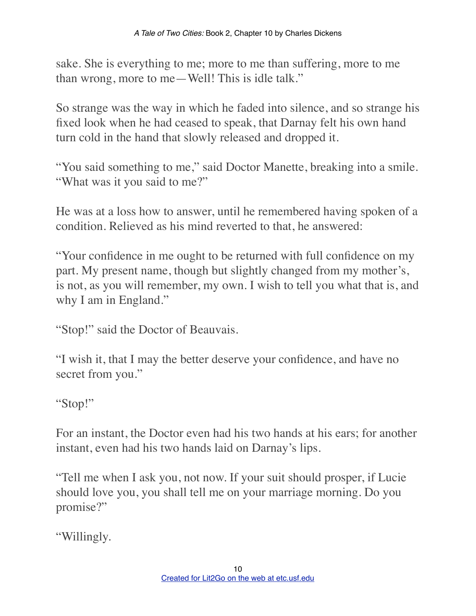sake. She is everything to me; more to me than suffering, more to me than wrong, more to me—Well! This is idle talk."

So strange was the way in which he faded into silence, and so strange his fixed look when he had ceased to speak, that Darnay felt his own hand turn cold in the hand that slowly released and dropped it.

"You said something to me," said Doctor Manette, breaking into a smile. "What was it you said to me?"

He was at a loss how to answer, until he remembered having spoken of a condition. Relieved as his mind reverted to that, he answered:

"Your confidence in me ought to be returned with full confidence on my part. My present name, though but slightly changed from my mother's, is not, as you will remember, my own. I wish to tell you what that is, and why I am in England."

"Stop!" said the Doctor of Beauvais.

"I wish it, that I may the better deserve your confidence, and have no secret from you."

"Stop!"

For an instant, the Doctor even had his two hands at his ears; for another instant, even had his two hands laid on Darnay's lips.

"Tell me when I ask you, not now. If your suit should prosper, if Lucie should love you, you shall tell me on your marriage morning. Do you promise?"

"Willingly.